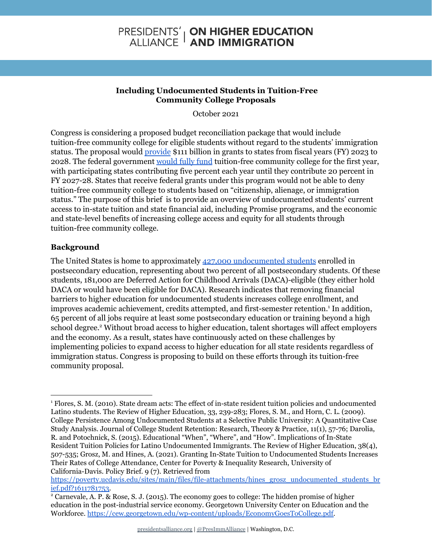# **PRESIDENTS' | ON HIGHER EDUCATION<br>ALLIANCE | AND IMMIGRATION**

#### **Including Undocumented Students in Tuition-Free Community College Proposals**

October 2021

Congress is considering a proposed budget reconciliation package that would include tuition-free community college for eligible students without regard to the students' immigration status. The proposal would [provide](https://kansasreflector.com/2021/10/03/democrats-vision-for-free-community-college-would-boost-undocumented-students/) \$111 billion in grants to states from fiscal years (FY) 2023 to 2028. The federal government [would](https://sheeoed.medium.com/modeling-state-investment-in-americas-college-promise-e3e65cafaafc) fully fund tuition-free community college for the first year, with participating states contributing five percent each year until they contribute 20 percent in FY 2027-28. States that receive federal grants under this program would not be able to deny tuition-free community college to students based on "citizenship, alienage, or immigration status." The purpose of this brief is to provide an overview of undocumented students' current access to in-state tuition and state financial aid, including Promise programs, and the economic and state-level benefits of increasing college access and equity for all students through tuition-free community college.

## **Background**

The United States is home to approximately 427,000 [undocumented](https://www.higheredimmigrationportal.org/research/undocumented-students-in-higher-education-updated-march-2021/) students enrolled in postsecondary education, representing about two percent of all postsecondary students. Of these students, 181,000 are Deferred Action for Childhood Arrivals (DACA)-eligible (they either hold DACA or would have been eligible for DACA). Research indicates that removing financial barriers to higher education for undocumented students increases college enrollment, and improves academic achievement, credits attempted, and first-semester retention.<sup>1</sup> In addition, 65 percent of all jobs require at least some postsecondary education or training beyond a high school degree.<sup>2</sup> Without broad access to higher education, talent shortages will affect employers and the economy. As a result, states have continuously acted on these challenges by implementing policies to expand access to higher education for all state residents regardless of immigration status. Congress is proposing to build on these efforts through its tuition-free community proposal.

<sup>&</sup>lt;sup>1</sup> Flores, S. M. (2010). State dream acts: The effect of in-state resident tuition policies and undocumented Latino students. The Review of Higher Education, 33, 239-283; Flores, S. M., and Horn, C. L. (2009). College Persistence Among Undocumented Students at a Selective Public University: A Quantitative Case Study Analysis. Journal of College Student Retention: Research, Theory & Practice, 11(1), 57-76; Darolia, R. and Potochnick, S. (2015). Educational "When", "Where", and "How". Implications of In-State Resident Tuition Policies for Latino Undocumented Immigrants. The Review of Higher Education, 38(4), 507-535; Grosz, M. and Hines, A. (2021). Granting In-State Tuition to Undocumented Students Increases Their Rates of College Attendance, Center for Poverty & Inequality Research, University of California-Davis. Policy Brief. 9 (7). Retrieved from

[https://poverty.ucdavis.edu/sites/main/files/file-attachments/hines\\_grosz\\_undocumented\\_students\\_br](https://poverty.ucdavis.edu/sites/main/files/file-attachments/hines_grosz_undocumented_students_brief.pdf?1611781753) [ief.pdf?1611781753.](https://poverty.ucdavis.edu/sites/main/files/file-attachments/hines_grosz_undocumented_students_brief.pdf?1611781753)

<sup>2</sup> Carnevale, A. P. & Rose, S. J. (2015). The economy goes to college: The hidden promise of higher education in the post-industrial service economy. Georgetown University Center on Education and the Workforce. [https://cew.georgetown.edu/wp-content/uploads/EconomyGoesToCollege.pdf.](https://cew.georgetown.edu/wp-content/uploads/EconomyGoesToCollege.pdf)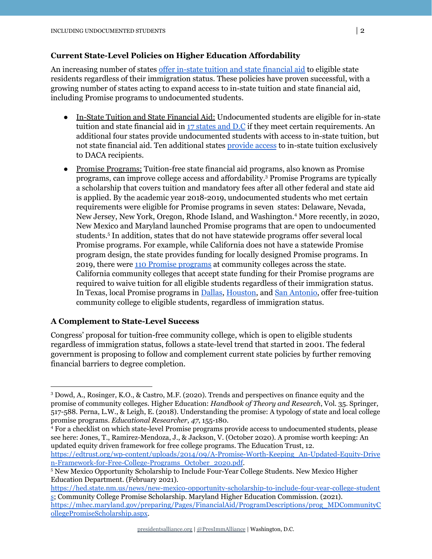#### **Current State-Level Policies on Higher Education Affordability**

An increasing number of states offer in-state tuition and state [financial](https://www.higheredimmigrationportal.org/states/) aid to eligible state residents regardless of their immigration status. These policies have proven successful, with a growing number of states acting to expand access to in-state tuition and state financial aid, including Promise programs to undocumented students.

- In-State Tuition and State Financial Aid: Undocumented students are eligible for in-state tuition and state financial aid in 17 [states](https://www.higheredimmigrationportal.org/states/) and D.C if they meet certain requirements. An additional four states provide undocumented students with access to in-state tuition, but not state financial aid. Ten additional states [provide](https://www.higheredimmigrationportal.org/wp-content/uploads/2021/01/Policy-Brief-Ending-DACA-Would-Limit-Access-to-Higher-Education-in-Ten-States.pdf) access to in-state tuition exclusively to DACA recipients.
- Promise Programs: Tuition-free state financial aid programs, also known as Promise programs, can improve college access and affordability.<sup>3</sup> Promise Programs are typically a scholarship that covers tuition and mandatory fees after all other federal and state aid is applied. By the academic year 2018-2019, undocumented students who met certain requirements were eligible for Promise programs in seven states: Delaware, Nevada, New Jersey, New York, Oregon, Rhode Island, and Washington.<sup>4</sup> More recently, in 2020, New Mexico and Maryland launched Promise programs that are open to undocumented students.<sup>5</sup> In addition, states that do not have statewide programs offer several local Promise programs. For example, while California does not have a statewide Promise program design, the state provides funding for locally designed Promise programs. In 2019, there were 110 Promise programs at [community](https://californiacollegepromise.wested.org/wp-content/uploads/2020/10/CCPP-Brief-3.pdf) colleges across the state. California community colleges that accept state funding for their Promise programs are required to waive tuition for all eligible students regardless of their immigration status. In Texas, local Promise programs in [Dallas](https://dallascountypromise.org/about), [Houston](https://www.hccs.edu/applying-and-paying/financial-aid/eagle-promise-program/), and San [Antonio,](https://www.alamo.edu/promise/) offer free-tuition community college to eligible students, regardless of immigration status.

#### **A Complement to State-Level Success**

Congress' proposal for tuition-free community college, which is open to eligible students regardless of immigration status, follows a state-level trend that started in 2001. The federal government is proposing to follow and complement current state policies by further removing financial barriers to degree completion.

<sup>3</sup> Dowd, A., Rosinger, K.O., & Castro, M.F. (2020). Trends and perspectives on finance equity and the promise of community colleges. Higher Education: *Handbook of Theory and Research*, Vol. 35. Springer, 517-588. Perna, L.W., & Leigh, E. (2018). Understanding the promise: A typology of state and local college promise programs. *Educational Researcher*, *47*, 155-180.

<sup>4</sup> For a checklist on which state-level Promise programs provide access to undocumented students, please see here: Jones, T., Ramirez-Mendoza, J., & Jackson, V. (October 2020). A promise worth keeping: An updated equity driven framework for free college programs. The Education Trust, 12.

[https://edtrust.org/wp-content/uploads/2014/09/A-Promise-Worth-Keeping\\_An-Updated-Equity-Drive](https://edtrust.org/wp-content/uploads/2014/09/A-Promise-Worth-Keeping_An-Updated-Equity-Driven-Framework-for-Free-College-Programs_October_2020.pdf) [n-Framework-for-Free-College-Programs\\_October\\_2020.pdf](https://edtrust.org/wp-content/uploads/2014/09/A-Promise-Worth-Keeping_An-Updated-Equity-Driven-Framework-for-Free-College-Programs_October_2020.pdf).

<sup>5</sup> New Mexico Opportunity Scholarship to Include Four-Year College Students. New Mexico Higher Education Department. (February 2021).

[https://hed.state.nm.us/news/new-mexico-opportunity-scholarship-to-include-four-year-college-student](https://hed.state.nm.us/news/new-mexico-opportunity-scholarship-to-include-four-year-college-students) [s](https://hed.state.nm.us/news/new-mexico-opportunity-scholarship-to-include-four-year-college-students); Community College Promise Scholarship. Maryland Higher Education Commission. (2021). [https://mhec.maryland.gov/preparing/Pages/FinancialAid/ProgramDescriptions/prog\\_MDCommunityC](https://mhec.maryland.gov/preparing/Pages/FinancialAid/ProgramDescriptions/prog_MDCommunityCollegePromiseScholarship.aspx) [ollegePromiseScholarship.aspx](https://mhec.maryland.gov/preparing/Pages/FinancialAid/ProgramDescriptions/prog_MDCommunityCollegePromiseScholarship.aspx).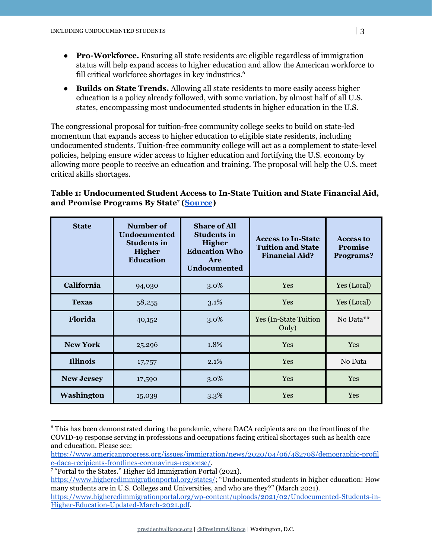- **Pro-Workforce.** Ensuring all state residents are eligible regardless of immigration status will help expand access to higher education and allow the American workforce to fill critical workforce shortages in key industries. 6
- **Builds on State Trends.** Allowing all state residents to more easily access higher education is a policy already followed, with some variation, by almost half of all U.S. states, encompassing most undocumented students in higher education in the U.S.

The congressional proposal for tuition-free community college seeks to build on state-led momentum that expands access to higher education to eligible state residents, including undocumented students. Tuition-free community college will act as a complement to state-level policies, helping ensure wider access to higher education and fortifying the U.S. economy by allowing more people to receive an education and training. The proposal will help the U.S. meet critical skills shortages.

### **Table 1: Undocumented Student Access to In-State Tuition and State Financial Aid, and Promise Programs By State ([Source](https://www.higheredimmigrationportal.org/states/)) 7**

| <b>State</b>      | Number of<br><b>Undocumented</b><br><b>Students in</b><br><b>Higher</b><br><b>Education</b> | <b>Share of All</b><br><b>Students in</b><br>Higher<br><b>Education Who</b><br>Are<br><b>Undocumented</b> | <b>Access to In-State</b><br><b>Tuition and State</b><br><b>Financial Aid?</b> | <b>Access to</b><br><b>Promise</b><br>Programs? |
|-------------------|---------------------------------------------------------------------------------------------|-----------------------------------------------------------------------------------------------------------|--------------------------------------------------------------------------------|-------------------------------------------------|
| California        | 94,030                                                                                      | 3.0%                                                                                                      | Yes                                                                            | Yes (Local)                                     |
| <b>Texas</b>      | 58,255                                                                                      | 3.1%                                                                                                      | <b>Yes</b>                                                                     | Yes (Local)                                     |
| Florida           | 40,152                                                                                      | 3.0%                                                                                                      | <b>Yes (In-State Tuition)</b><br>Only)                                         | No Data**                                       |
| <b>New York</b>   | 25,296                                                                                      | 1.8%                                                                                                      | <b>Yes</b>                                                                     | Yes                                             |
| <b>Illinois</b>   | 17,757                                                                                      | 2.1%                                                                                                      | <b>Yes</b>                                                                     | No Data                                         |
| <b>New Jersey</b> | 17,590                                                                                      | 3.0%                                                                                                      | <b>Yes</b>                                                                     | <b>Yes</b>                                      |
| <b>Washington</b> | 15,039                                                                                      | 3.3%                                                                                                      | Yes                                                                            | Yes                                             |

<sup>6</sup> This has been demonstrated during the pandemic, where DACA recipients are on the frontlines of the COVID-19 response serving in professions and occupations facing critical shortages such as health care and education. Please see:

[https://www.americanprogress.org/issues/immigration/news/2020/04/06/482708/demographic-profil](https://www.americanprogress.org/issues/immigration/news/2020/04/06/482708/demographic-profile-daca-recipients-frontlines-coronavirus-response/) [e-daca-recipients-frontlines-coronavirus-response/.](https://www.americanprogress.org/issues/immigration/news/2020/04/06/482708/demographic-profile-daca-recipients-frontlines-coronavirus-response/)

<sup>&</sup>lt;sup>7</sup> "Portal to the States." Higher Ed Immigration Portal (2021).

<https://www.higheredimmigrationportal.org/states/>; "Undocumented students in higher education: How many students are in U.S. Colleges and Universities, and who are they?" (March 2021).

[https://www.higheredimmigrationportal.org/wp-content/uploads/2021/02/Undocumented-Students-in-](https://www.higheredimmigrationportal.org/wp-content/uploads/2021/02/Undocumented-Students-in-Higher-Education-Updated-March-2021.pdf)[Higher-Education-Updated-March-2021.pdf.](https://www.higheredimmigrationportal.org/wp-content/uploads/2021/02/Undocumented-Students-in-Higher-Education-Updated-March-2021.pdf)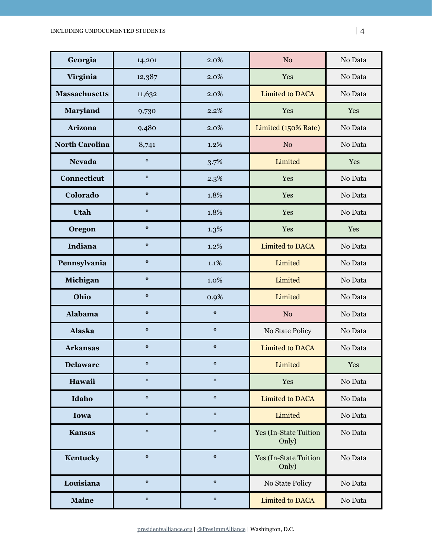| Georgia               | 14,201 | 2.0%   | N <sub>o</sub>                         | No Data |
|-----------------------|--------|--------|----------------------------------------|---------|
| Virginia              | 12,387 | 2.0%   | Yes                                    | No Data |
| <b>Massachusetts</b>  | 11,632 | 2.0%   | <b>Limited to DACA</b>                 | No Data |
| Maryland              | 9,730  | 2.2%   | Yes                                    | Yes     |
| Arizona               | 9,480  | 2.0%   | Limited (150% Rate)                    | No Data |
| <b>North Carolina</b> | 8,741  | 1.2%   | N <sub>o</sub>                         | No Data |
| <b>Nevada</b>         | $\ast$ | 3.7%   | Limited                                | Yes     |
| Connecticut           | $\ast$ | 2.3%   | Yes                                    | No Data |
| Colorado              | $\ast$ | 1.8%   | Yes                                    | No Data |
| <b>Utah</b>           | $\ast$ | 1.8%   | Yes                                    | No Data |
| Oregon                | $\ast$ | 1.3%   | Yes                                    | Yes     |
| Indiana               | $\ast$ | 1.2%   | <b>Limited to DACA</b>                 | No Data |
| Pennsylvania          | $\ast$ | 1.1%   | Limited                                | No Data |
| Michigan              | $\ast$ | 1.0%   | Limited                                | No Data |
| Ohio                  | $\ast$ | 0.9%   | Limited                                | No Data |
| <b>Alabama</b>        | $\ast$ | $\ast$ | N <sub>o</sub>                         | No Data |
| <b>Alaska</b>         | $\ast$ | $\ast$ | No State Policy                        | No Data |
| <b>Arkansas</b>       | $\ast$ | $\ast$ | <b>Limited to DACA</b>                 | No Data |
| <b>Delaware</b>       | $\ast$ | $\ast$ | Limited                                | Yes     |
| Hawaii                | $\ast$ | $\ast$ | Yes                                    | No Data |
| Idaho                 | $\ast$ | $\ast$ | <b>Limited to DACA</b>                 | No Data |
| Iowa                  | $\ast$ | $\ast$ | Limited                                | No Data |
| <b>Kansas</b>         | $\ast$ | $\ast$ | <b>Yes (In-State Tuition)</b><br>Only) | No Data |
| Kentucky              | $\ast$ | $\ast$ | <b>Yes (In-State Tuition</b><br>Only)  | No Data |
| Louisiana             | $\ast$ | $\ast$ | No State Policy                        | No Data |
| <b>Maine</b>          | $\ast$ | $\ast$ | <b>Limited to DACA</b>                 | No Data |